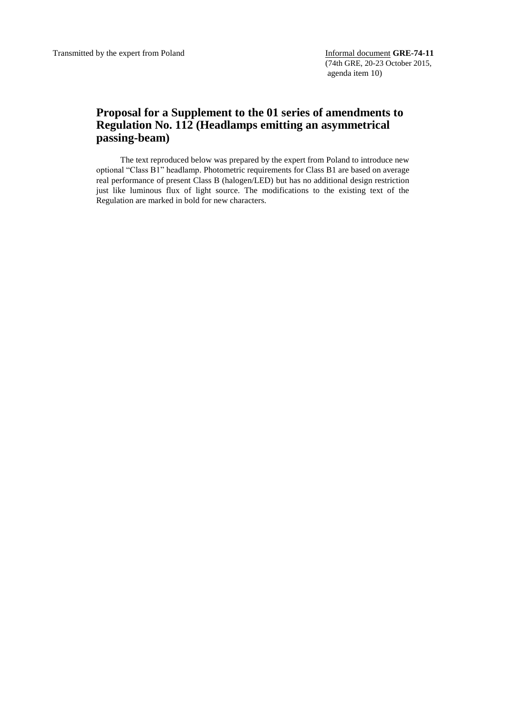## **Proposal for a Supplement to the 01 series of amendments to Regulation No. 112 (Headlamps emitting an asymmetrical passing-beam)**

The text reproduced below was prepared by the expert from Poland to introduce new optional "Class B1" headlamp. Photometric requirements for Class B1 are based on average real performance of present Class B (halogen/LED) but has no additional design restriction just like luminous flux of light source. The modifications to the existing text of the Regulation are marked in bold for new characters.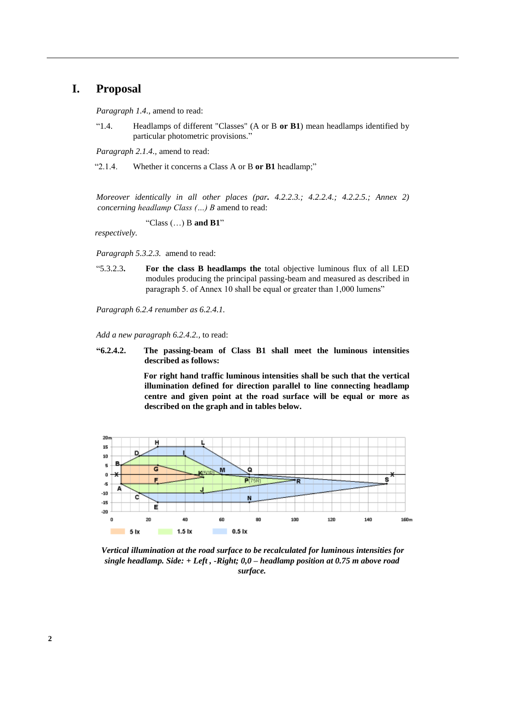## **I. Proposal**

*Paragraph 1.4.,* amend to read:

"1.4. Headlamps of different "Classes" (A or B **or B1**) mean headlamps identified by particular photometric provisions."

*Paragraph 2.1.4.,* amend to read:

"2.1.4. Whether it concerns a Class A or B **or B1** headlamp;"

*Moreover identically in all other places (par. 4.2.2.3.; 4.2.2.4.; 4.2.2.5.; Annex 2) concerning headlamp Class (…) B* amend to read:

"Class (…) B **and B1**"

*respectively.*

*Paragraph 5.3.2.3.* amend to read:

"5.3.2.3**. For the class B headlamps the** total objective luminous flux of all LED modules producing the principal passing-beam and measured as described in paragraph 5. of Annex 10 shall be equal or greater than 1,000 lumens"

*Paragraph 6.2.4 renumber as 6.2.4.1.* 

*Add a new paragraph 6.2.4.2.,* to read:

**"6.2.4.2. The passing-beam of Class B1 shall meet the luminous intensities described as follows:** 

> **For right hand traffic luminous intensities shall be such that the vertical illumination defined for direction parallel to line connecting headlamp centre and given point at the road surface will be equal or more as described on the graph and in tables below.**



*Vertical illumination at the road surface to be recalculated for luminous intensities for single headlamp. Side: + Left , -Right; 0,0 – headlamp position at 0.75 m above road surface.*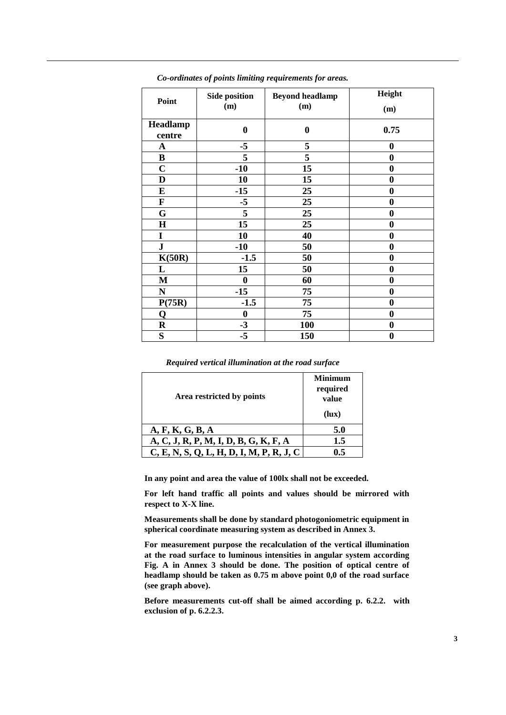| Point              | <b>Side position</b><br>(m) | <b>Beyond headlamp</b><br>(m) | Height<br>(m)    |
|--------------------|-----------------------------|-------------------------------|------------------|
| Headlamp<br>centre | $\boldsymbol{0}$            | $\boldsymbol{0}$              | 0.75             |
| $\mathbf A$        | $-5$                        | 5                             | $\bf{0}$         |
| $\bf{B}$           | 5                           | $\overline{\mathbf{5}}$       | $\bf{0}$         |
| $\mathbf C$        | $-10$                       | 15                            | $\bf{0}$         |
| D                  | 10                          | 15                            | $\bf{0}$         |
| E                  | $-15$                       | 25                            | $\bf{0}$         |
| $\mathbf F$        | $-5$                        | 25                            | $\boldsymbol{0}$ |
| G                  | $\overline{5}$              | 25                            | $\bf{0}$         |
| $\mathbf H$        | 15                          | 25                            | $\bf{0}$         |
| $\mathbf I$        | 10                          | 40                            | $\bf{0}$         |
| ${\bf J}$          | $-10$                       | 50                            | $\bf{0}$         |
| K(50R)             | $-1.5$                      | 50                            | $\bf{0}$         |
| L                  | 15                          | 50                            | $\bf{0}$         |
| M                  | $\bf{0}$                    | 60                            | $\bf{0}$         |
| $\mathbf N$        | $-15$                       | 75                            | $\bf{0}$         |
| P(75R)             | $-1.5$                      | 75                            | $\boldsymbol{0}$ |
| Q                  | $\bf{0}$                    | 75                            | $\bf{0}$         |
| $\bf R$            | $-3$                        | 100                           | $\boldsymbol{0}$ |
| S                  | $-5$                        | 150                           | $\bf{0}$         |

*Co-ordinates of points limiting requirements for areas.* 

*Required vertical illumination at the road surface*

| Area restricted by points                  | <b>Minimum</b><br>required<br>value<br>(lux) |
|--------------------------------------------|----------------------------------------------|
| A, F, K, G, B, A                           | 5.0                                          |
| A, C, J, R, P, M, I, D, B, G, K, F, A      | 1.5                                          |
| $C, E, N, S, Q, L, H, D, I, M, P, R, J, C$ | 0.5                                          |

**In any point and area the value of 100lx shall not be exceeded.** 

**For left hand traffic all points and values should be mirrored with respect to X-X line.**

**Measurements shall be done by standard photogoniometric equipment in spherical coordinate measuring system as described in Annex 3.**

**For measurement purpose the recalculation of the vertical illumination at the road surface to luminous intensities in angular system according Fig. A in Annex 3 should be done. The position of optical centre of headlamp should be taken as 0.75 m above point 0,0 of the road surface (see graph above).** 

**Before measurements cut-off shall be aimed according p. 6.2.2. with exclusion of p. 6.2.2.3.**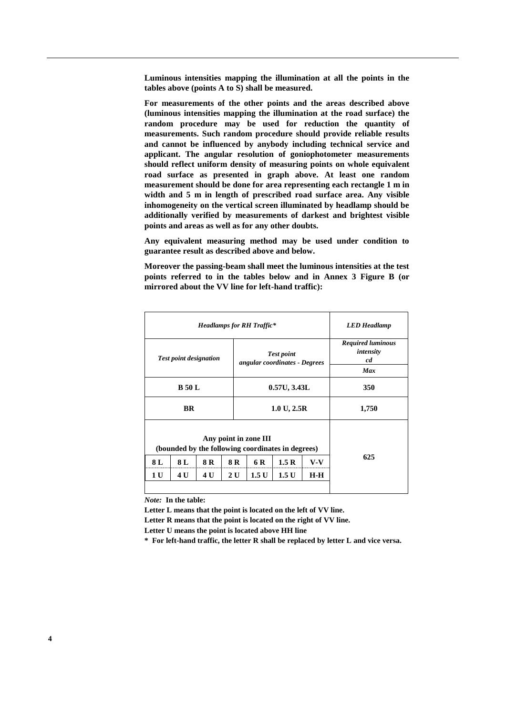**Luminous intensities mapping the illumination at all the points in the tables above (points A to S) shall be measured.**

**For measurements of the other points and the areas described above (luminous intensities mapping the illumination at the road surface) the random procedure may be used for reduction the quantity of measurements. Such random procedure should provide reliable results and cannot be influenced by anybody including technical service and applicant. The angular resolution of goniophotometer measurements should reflect uniform density of measuring points on whole equivalent road surface as presented in graph above. At least one random measurement should be done for area representing each rectangle 1 m in width and 5 m in length of prescribed road surface area. Any visible inhomogeneity on the vertical screen illuminated by headlamp should be additionally verified by measurements of darkest and brightest visible points and areas as well as for any other doubts.** 

**Any equivalent measuring method may be used under condition to guarantee result as described above and below.**

**Moreover the passing-beam shall meet the luminous intensities at the test points referred to in the tables below and in Annex 3 Figure B (or mirrored about the VV line for left-hand traffic):**

| <b>LED</b> Headlamp                                       |     |                                                                                     | <b>Headlamps for RH Traffic*</b> |     |           |               |     |
|-----------------------------------------------------------|-----|-------------------------------------------------------------------------------------|----------------------------------|-----|-----------|---------------|-----|
| <b>Required luminous</b><br>intensity<br>cd<br><b>Max</b> |     | <b>Test point</b><br><b>Test point designation</b><br>angular coordinates - Degrees |                                  |     |           |               |     |
| 350                                                       |     | 0.57U, 3.43L                                                                        |                                  |     |           | <b>B</b> 50 L |     |
| 1,750                                                     |     | 1.0 U, 2.5 R                                                                        |                                  |     | <b>BR</b> |               |     |
|                                                           |     | (bounded by the following coordinates in degrees)                                   | Any point in zone III            |     |           |               |     |
| 625                                                       | V-V | 1.5 R                                                                               | 6 R                              | 8 R | 8 R       | 8 L           | 8 L |
|                                                           | H-H | 1.5 U                                                                               | 1.5 U                            | 2 U | 4 U       | 4 U           | 1 U |

*Note:* **In the table:**

**Letter L means that the point is located on the left of VV line.**

**Letter R means that the point is located on the right of VV line.**

**Letter U means the point is located above HH line**

**\* For left-hand traffic, the letter R shall be replaced by letter L and vice versa.**